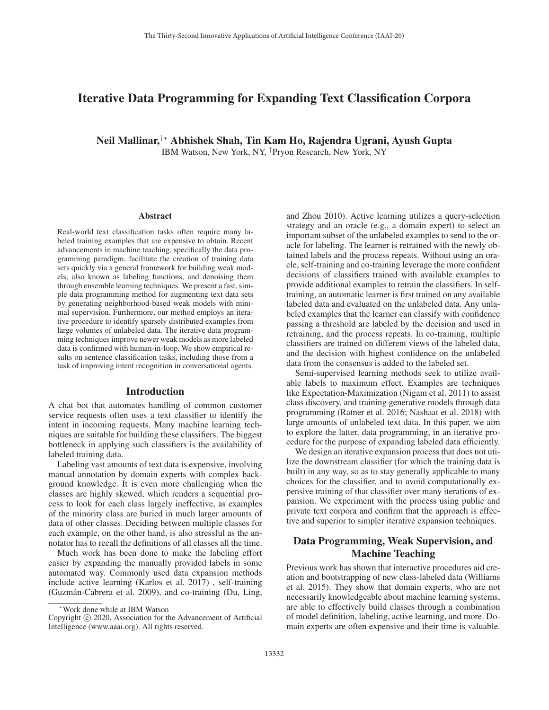# Iterative Data Programming for Expanding Text Classification Corpora

Neil Mallinar,†∗ Abhishek Shah, Tin Kam Ho, Rajendra Ugrani, Ayush Gupta IBM Watson, New York, NY, †Pryon Research, New York, NY

#### **Abstract**

Real-world text classification tasks often require many labeled training examples that are expensive to obtain. Recent advancements in machine teaching, specifically the data programming paradigm, facilitate the creation of training data sets quickly via a general framework for building weak models, also known as labeling functions, and denoising them through ensemble learning techniques. We present a fast, simple data programming method for augmenting text data sets by generating neighborhood-based weak models with minimal supervision. Furthermore, our method employs an iterative procedure to identify sparsely distributed examples from large volumes of unlabeled data. The iterative data programming techniques improve newer weak models as more labeled data is confirmed with human-in-loop. We show empirical results on sentence classification tasks, including those from a task of improving intent recognition in conversational agents.

#### Introduction

A chat bot that automates handling of common customer service requests often uses a text classifier to identify the intent in incoming requests. Many machine learning techniques are suitable for building these classifiers. The biggest bottleneck in applying such classifiers is the availability of labeled training data.

Labeling vast amounts of text data is expensive, involving manual annotation by domain experts with complex background knowledge. It is even more challenging when the classes are highly skewed, which renders a sequential process to look for each class largely ineffective, as examples of the minority class are buried in much larger amounts of data of other classes. Deciding between multiple classes for each example, on the other hand, is also stressful as the annotator has to recall the definitions of all classes all the time.

Much work has been done to make the labeling effort easier by expanding the manually provided labels in some automated way. Commonly used data expansion methods include active learning (Karlos et al. 2017) , self-training (Guzmán-Cabrera et al. 2009), and co-training (Du, Ling,

and Zhou 2010). Active learning utilizes a query-selection strategy and an oracle (e.g., a domain expert) to select an important subset of the unlabeled examples to send to the oracle for labeling. The learner is retrained with the newly obtained labels and the process repeats. Without using an oracle, self-training and co-training leverage the more confident decisions of classifiers trained with available examples to provide additional examples to retrain the classifiers. In selftraining, an automatic learner is first trained on any available labeled data and evaluated on the unlabeled data. Any unlabeled examples that the learner can classify with confidence passing a threshold are labeled by the decision and used in retraining, and the process repeats. In co-training, multiple classifiers are trained on different views of the labeled data, and the decision with highest confidence on the unlabeled data from the consensus is added to the labeled set.

Semi-supervised learning methods seek to utilize available labels to maximum effect. Examples are techniques like Expectation-Maximization (Nigam et al. 2011) to assist class discovery, and training generative models through data programming (Ratner et al. 2016; Nashaat et al. 2018) with large amounts of unlabeled text data. In this paper, we aim to explore the latter, data programming, in an iterative procedure for the purpose of expanding labeled data efficiently.

We design an iterative expansion process that does not utilize the downstream classifier (for which the training data is built) in any way, so as to stay generally applicable to many choices for the classifier, and to avoid computationally expensive training of that classifier over many iterations of expansion. We experiment with the process using public and private text corpora and confirm that the approach is effective and superior to simpler iterative expansion techniques.

## Data Programming, Weak Supervision, and Machine Teaching

Previous work has shown that interactive procedures aid creation and bootstrapping of new class-labeled data (Williams et al. 2015). They show that domain experts, who are not necessarily knowledgeable about machine learning systems, are able to effectively build classes through a combination of model definition, labeling, active learning, and more. Domain experts are often expensive and their time is valuable.

<sup>∗</sup>Work done while at IBM Watson

Copyright  $\odot$  2020, Association for the Advancement of Artificial Intelligence (www.aaai.org). All rights reserved.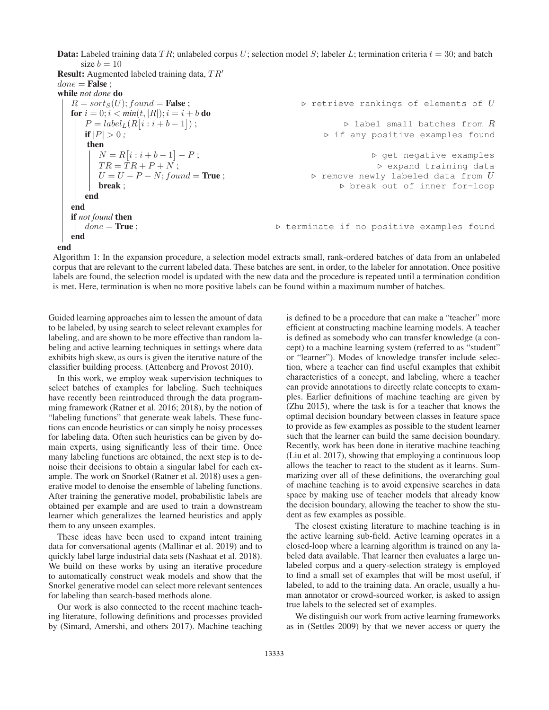**Data:** Labeled training data TR; unlabeled corpus U; selection model S; labeler L; termination criteria  $t = 30$ ; and batch size  $b = 10$ 

**Result:** Augmented labeled training data,  $TR'$  $done = False$ ; while *not done* do  $R = sort_S(U); found =$ **False**;  $\rho$  retrieve rankings of elements of  $U$ **for**  $i = 0; i < min(t, |R|); i = i + b$  **do**  $P = label_L(R[i:i+b-1])$ <br>if  $|P| > 0$ . );  $\triangleright$  $\triangleright$  label small batches from  $R$ if  $|P| > 0$ ;  $\Rightarrow$  if any positive examples found then  $N = R[i : i + b - 1]$ <br> $TR - TR + P + N$  $-P$ ; get negative examples  $TR = \dot{T}R + P + \dot{N}$ ;<br>  $U = U - P - N \cdot found = True$ ; expand training data  $U = U - P - N$ ; found = **True** ;  $\triangleright$  $\triangleright$  remove newly labeled data from  $U$ break ;  $\triangleright$  break out of inner for-loop end end if *not found* then  $\vert$  done = True ;  $D$  terminate if no positive examples found end end

Algorithm 1: In the expansion procedure, a selection model extracts small, rank-ordered batches of data from an unlabeled corpus that are relevant to the current labeled data. These batches are sent, in order, to the labeler for annotation. Once positive labels are found, the selection model is updated with the new data and the procedure is repeated until a termination condition is met. Here, termination is when no more positive labels can be found within a maximum number of batches.

Guided learning approaches aim to lessen the amount of data to be labeled, by using search to select relevant examples for labeling, and are shown to be more effective than random labeling and active learning techniques in settings where data exhibits high skew, as ours is given the iterative nature of the classifier building process. (Attenberg and Provost 2010).

In this work, we employ weak supervision techniques to select batches of examples for labeling. Such techniques have recently been reintroduced through the data programming framework (Ratner et al. 2016; 2018), by the notion of "labeling functions" that generate weak labels. These functions can encode heuristics or can simply be noisy processes for labeling data. Often such heuristics can be given by domain experts, using significantly less of their time. Once many labeling functions are obtained, the next step is to denoise their decisions to obtain a singular label for each example. The work on Snorkel (Ratner et al. 2018) uses a generative model to denoise the ensemble of labeling functions. After training the generative model, probabilistic labels are obtained per example and are used to train a downstream learner which generalizes the learned heuristics and apply them to any unseen examples.

These ideas have been used to expand intent training data for conversational agents (Mallinar et al. 2019) and to quickly label large industrial data sets (Nashaat et al. 2018). We build on these works by using an iterative procedure to automatically construct weak models and show that the Snorkel generative model can select more relevant sentences for labeling than search-based methods alone.

Our work is also connected to the recent machine teaching literature, following definitions and processes provided by (Simard, Amershi, and others 2017). Machine teaching is defined to be a procedure that can make a "teacher" more efficient at constructing machine learning models. A teacher is defined as somebody who can transfer knowledge (a concept) to a machine learning system (referred to as "student" or "learner"). Modes of knowledge transfer include selection, where a teacher can find useful examples that exhibit characteristics of a concept, and labeling, where a teacher can provide annotations to directly relate concepts to examples. Earlier definitions of machine teaching are given by (Zhu 2015), where the task is for a teacher that knows the optimal decision boundary between classes in feature space to provide as few examples as possible to the student learner such that the learner can build the same decision boundary. Recently, work has been done in iterative machine teaching (Liu et al. 2017), showing that employing a continuous loop allows the teacher to react to the student as it learns. Summarizing over all of these definitions, the overarching goal of machine teaching is to avoid expensive searches in data space by making use of teacher models that already know the decision boundary, allowing the teacher to show the student as few examples as possible.

The closest existing literature to machine teaching is in the active learning sub-field. Active learning operates in a closed-loop where a learning algorithm is trained on any labeled data available. That learner then evaluates a large unlabeled corpus and a query-selection strategy is employed to find a small set of examples that will be most useful, if labeled, to add to the training data. An oracle, usually a human annotator or crowd-sourced worker, is asked to assign true labels to the selected set of examples.

We distinguish our work from active learning frameworks as in (Settles 2009) by that we never access or query the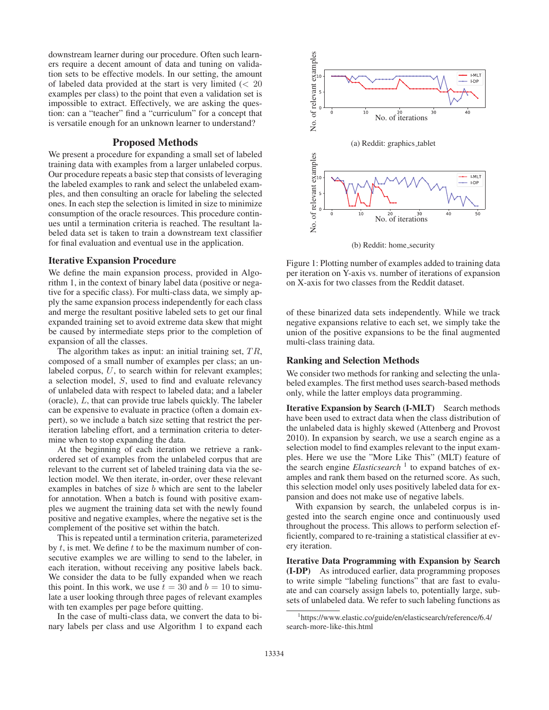downstream learner during our procedure. Often such learners require a decent amount of data and tuning on validation sets to be effective models. In our setting, the amount of labeled data provided at the start is very limited (<sup>&</sup>lt; 20 examples per class) to the point that even a validation set is impossible to extract. Effectively, we are asking the question: can a "teacher" find a "curriculum" for a concept that is versatile enough for an unknown learner to understand?

### Proposed Methods

We present a procedure for expanding a small set of labeled training data with examples from a larger unlabeled corpus. Our procedure repeats a basic step that consists of leveraging the labeled examples to rank and select the unlabeled examples, and then consulting an oracle for labeling the selected ones. In each step the selection is limited in size to minimize consumption of the oracle resources. This procedure continues until a termination criteria is reached. The resultant labeled data set is taken to train a downstream text classifier for final evaluation and eventual use in the application.

## Iterative Expansion Procedure

We define the main expansion process, provided in Algorithm 1, in the context of binary label data (positive or negative for a specific class). For multi-class data, we simply apply the same expansion process independently for each class and merge the resultant positive labeled sets to get our final expanded training set to avoid extreme data skew that might be caused by intermediate steps prior to the completion of expansion of all the classes.

The algorithm takes as input: an initial training set,  $TR$ , composed of a small number of examples per class; an unlabeled corpus, U, to search within for relevant examples; a selection model, S, used to find and evaluate relevancy of unlabeled data with respect to labeled data; and a labeler (oracle), L, that can provide true labels quickly. The labeler can be expensive to evaluate in practice (often a domain expert), so we include a batch size setting that restrict the periteration labeling effort, and a termination criteria to determine when to stop expanding the data.

At the beginning of each iteration we retrieve a rankordered set of examples from the unlabeled corpus that are relevant to the current set of labeled training data via the selection model. We then iterate, in-order, over these relevant examples in batches of size b which are sent to the labeler for annotation. When a batch is found with positive examples we augment the training data set with the newly found positive and negative examples, where the negative set is the complement of the positive set within the batch.

This is repeated until a termination criteria, parameterized by  $t$ , is met. We define  $t$  to be the maximum number of consecutive examples we are willing to send to the labeler, in each iteration, without receiving any positive labels back. We consider the data to be fully expanded when we reach this point. In this work, we use  $t = 30$  and  $b = 10$  to simulate a user looking through three pages of relevant examples with ten examples per page before quitting.

In the case of multi-class data, we convert the data to binary labels per class and use Algorithm 1 to expand each



(b) Reddit: home\_security

Figure 1: Plotting number of examples added to training data per iteration on Y-axis vs. number of iterations of expansion on X-axis for two classes from the Reddit dataset.

of these binarized data sets independently. While we track negative expansions relative to each set, we simply take the union of the positive expansions to be the final augmented multi-class training data.

#### Ranking and Selection Methods

We consider two methods for ranking and selecting the unlabeled examples. The first method uses search-based methods only, while the latter employs data programming.

Iterative Expansion by Search (I-MLT) Search methods have been used to extract data when the class distribution of the unlabeled data is highly skewed (Attenberg and Provost 2010). In expansion by search, we use a search engine as a selection model to find examples relevant to the input examples. Here we use the "More Like This" (MLT) feature of the search engine *Elasticsearch*<sup>1</sup> to expand batches of examples and rank them based on the returned score. As such, this selection model only uses positively labeled data for expansion and does not make use of negative labels.

With expansion by search, the unlabeled corpus is ingested into the search engine once and continuously used throughout the process. This allows to perform selection efficiently, compared to re-training a statistical classifier at every iteration.

Iterative Data Programming with Expansion by Search (I-DP) As introduced earlier, data programming proposes to write simple "labeling functions" that are fast to evaluate and can coarsely assign labels to, potentially large, subsets of unlabeled data. We refer to such labeling functions as

<sup>1</sup> https://www.elastic.co/guide/en/elasticsearch/reference/6.4/ search-more-like-this.html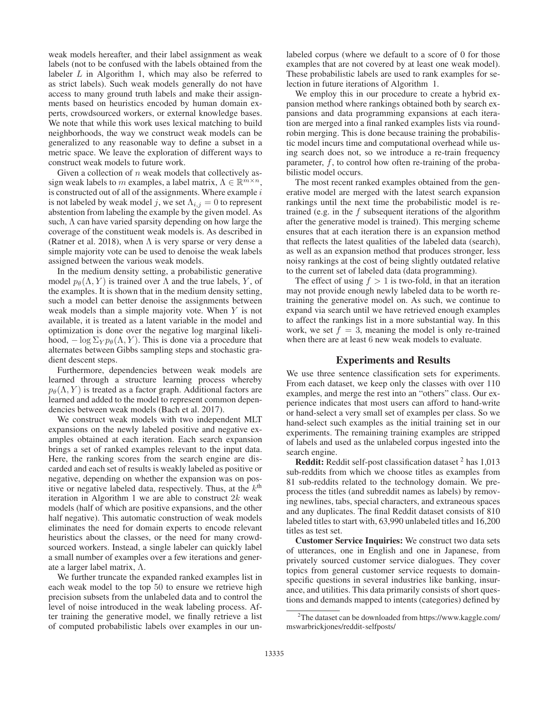weak models hereafter, and their label assignment as weak labels (not to be confused with the labels obtained from the labeler  $L$  in Algorithm 1, which may also be referred to as strict labels). Such weak models generally do not have access to many ground truth labels and make their assignments based on heuristics encoded by human domain experts, crowdsourced workers, or external knowledge bases. We note that while this work uses lexical matching to build neighborhoods, the way we construct weak models can be generalized to any reasonable way to define a subset in a metric space. We leave the exploration of different ways to construct weak models to future work.

Given a collection of  $n$  weak models that collectively assign weak labels to m examples, a label matrix,  $\Lambda \in \mathbb{R}^{m \times n}$ , is constructed out of all of the assignments. Where example  $i$ is not labeled by weak model j, we set  $\Lambda_{i,j} = 0$  to represent abstention from labeling the example by the given model. As such,  $\Lambda$  can have varied sparsity depending on how large the coverage of the constituent weak models is. As described in (Ratner et al. 2018), when  $\Lambda$  is very sparse or very dense a simple majority vote can be used to denoise the weak labels assigned between the various weak models.

In the medium density setting, a probabilistic generative model  $p_{\theta}(\Lambda, Y)$  is trained over  $\Lambda$  and the true labels, Y, of the examples. It is shown that in the medium density setting, such a model can better denoise the assignments between weak models than a simple majority vote. When Y is not available, it is treated as a latent variable in the model and optimization is done over the negative log marginal likelihood,  $-\log \Sigma_Y p_\theta(\Lambda, Y)$ . This is done via a procedure that alternates between Gibbs sampling steps and stochastic gradient descent steps.

Furthermore, dependencies between weak models are learned through a structure learning process whereby  $p_{\theta}(\Lambda, Y)$  is treated as a factor graph. Additional factors are learned and added to the model to represent common dependencies between weak models (Bach et al. 2017).

We construct weak models with two independent MLT expansions on the newly labeled positive and negative examples obtained at each iteration. Each search expansion brings a set of ranked examples relevant to the input data. Here, the ranking scores from the search engine are discarded and each set of results is weakly labeled as positive or negative, depending on whether the expansion was on positive or negative labeled data, respectively. Thus, at the  $k<sup>th</sup>$ iteration in Algorithm 1 we are able to construct  $2k$  weak models (half of which are positive expansions, and the other half negative). This automatic construction of weak models eliminates the need for domain experts to encode relevant heuristics about the classes, or the need for many crowdsourced workers. Instead, a single labeler can quickly label a small number of examples over a few iterations and generate a larger label matrix, Λ.

We further truncate the expanded ranked examples list in each weak model to the top 50 to ensure we retrieve high precision subsets from the unlabeled data and to control the level of noise introduced in the weak labeling process. After training the generative model, we finally retrieve a list of computed probabilistic labels over examples in our un-

labeled corpus (where we default to a score of 0 for those examples that are not covered by at least one weak model). These probabilistic labels are used to rank examples for selection in future iterations of Algorithm 1.

We employ this in our procedure to create a hybrid expansion method where rankings obtained both by search expansions and data programming expansions at each iteration are merged into a final ranked examples lists via roundrobin merging. This is done because training the probabilistic model incurs time and computational overhead while using search does not, so we introduce a re-train frequency parameter,  $f$ , to control how often re-training of the probabilistic model occurs.

The most recent ranked examples obtained from the generative model are merged with the latest search expansion rankings until the next time the probabilistic model is retrained (e.g. in the  $f$  subsequent iterations of the algorithm after the generative model is trained). This merging scheme ensures that at each iteration there is an expansion method that reflects the latest qualities of the labeled data (search), as well as an expansion method that produces stronger, less noisy rankings at the cost of being slightly outdated relative to the current set of labeled data (data programming).

The effect of using  $f > 1$  is two-fold, in that an iteration may not provide enough newly labeled data to be worth retraining the generative model on. As such, we continue to expand via search until we have retrieved enough examples to affect the rankings list in a more substantial way. In this work, we set  $f = 3$ , meaning the model is only re-trained when there are at least 6 new weak models to evaluate.

## Experiments and Results

We use three sentence classification sets for experiments. From each dataset, we keep only the classes with over 110 examples, and merge the rest into an "others" class. Our experience indicates that most users can afford to hand-write or hand-select a very small set of examples per class. So we hand-select such examples as the initial training set in our experiments. The remaining training examples are stripped of labels and used as the unlabeled corpus ingested into the search engine.

**Reddit:** Reddit self-post classification dataset  $^2$  has 1,013 sub-reddits from which we choose titles as examples from 81 sub-reddits related to the technology domain. We preprocess the titles (and subreddit names as labels) by removing newlines, tabs, special characters, and extraneous spaces and any duplicates. The final Reddit dataset consists of 810 labeled titles to start with, 63,990 unlabeled titles and 16,200 titles as test set.

Customer Service Inquiries: We construct two data sets of utterances, one in English and one in Japanese, from privately sourced customer service dialogues. They cover topics from general customer service requests to domainspecific questions in several industries like banking, insurance, and utilities. This data primarily consists of short questions and demands mapped to intents (categories) defined by

<sup>&</sup>lt;sup>2</sup>The dataset can be downloaded from https://www.kaggle.com/ mswarbrickjones/reddit-selfposts/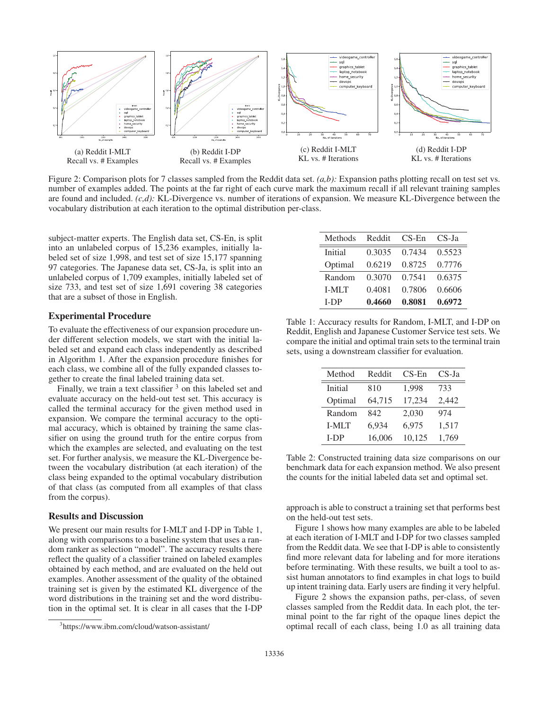

Figure 2: Comparison plots for 7 classes sampled from the Reddit data set. *(a,b):* Expansion paths plotting recall on test set vs. number of examples added. The points at the far right of each curve mark the maximum recall if all relevant training samples are found and included. *(c,d):* KL-Divergence vs. number of iterations of expansion. We measure KL-Divergence between the vocabulary distribution at each iteration to the optimal distribution per-class.

subject-matter experts. The English data set, CS-En, is split into an unlabeled corpus of 15,236 examples, initially labeled set of size 1,998, and test set of size 15,177 spanning 97 categories. The Japanese data set, CS-Ja, is split into an unlabeled corpus of 1,709 examples, initially labeled set of size 733, and test set of size 1,691 covering 38 categories that are a subset of those in English.

### Experimental Procedure

To evaluate the effectiveness of our expansion procedure under different selection models, we start with the initial labeled set and expand each class independently as described in Algorithm 1. After the expansion procedure finishes for each class, we combine all of the fully expanded classes together to create the final labeled training data set.

Finally, we train a text classifier  $3$  on this labeled set and evaluate accuracy on the held-out test set. This accuracy is called the terminal accuracy for the given method used in expansion. We compare the terminal accuracy to the optimal accuracy, which is obtained by training the same classifier on using the ground truth for the entire corpus from which the examples are selected, and evaluating on the test set. For further analysis, we measure the KL-Divergence between the vocabulary distribution (at each iteration) of the class being expanded to the optimal vocabulary distribution of that class (as computed from all examples of that class from the corpus).

## Results and Discussion

We present our main results for I-MLT and I-DP in Table 1, along with comparisons to a baseline system that uses a random ranker as selection "model". The accuracy results there reflect the quality of a classifier trained on labeled examples obtained by each method, and are evaluated on the held out examples. Another assessment of the quality of the obtained training set is given by the estimated KL divergence of the word distributions in the training set and the word distribution in the optimal set. It is clear in all cases that the I-DP

| Methods      | Reddit | $CS-Fn$ | $CS$ -Ja |
|--------------|--------|---------|----------|
| Initial      | 0.3035 | 0.7434  | 0.5523   |
| Optimal      | 0.6219 | 0.8725  | 0.7776   |
| Random       | 0.3070 | 0.7541  | 0.6375   |
| <b>I-MIT</b> | 0.4081 | 0.7806  | 0.6606   |
| <b>I-DP</b>  | 0.4660 | 0.8081  | 0.6972   |

Table 1: Accuracy results for Random, I-MLT, and I-DP on Reddit, English and Japanese Customer Service test sets. We compare the initial and optimal train sets to the terminal train sets, using a downstream classifier for evaluation.

| Method       | Reddit | $CS$ -En | $CS-Ia$ |
|--------------|--------|----------|---------|
| Initial      | 810    | 1,998    | 733     |
| Optimal      | 64,715 | 17,234   | 2,442   |
| Random       | 842    | 2,030    | 974     |
| <b>I-MLT</b> | 6,934  | 6,975    | 1,517   |
| $I-DP$       | 16,006 | 10,125   | 1,769   |

Table 2: Constructed training data size comparisons on our benchmark data for each expansion method. We also present the counts for the initial labeled data set and optimal set.

approach is able to construct a training set that performs best on the held-out test sets.

Figure 1 shows how many examples are able to be labeled at each iteration of I-MLT and I-DP for two classes sampled from the Reddit data. We see that I-DP is able to consistently find more relevant data for labeling and for more iterations before terminating. With these results, we built a tool to assist human annotators to find examples in chat logs to build up intent training data. Early users are finding it very helpful.

Figure 2 shows the expansion paths, per-class, of seven classes sampled from the Reddit data. In each plot, the terminal point to the far right of the opaque lines depict the optimal recall of each class, being 1.0 as all training data

<sup>3</sup> https://www.ibm.com/cloud/watson-assistant/